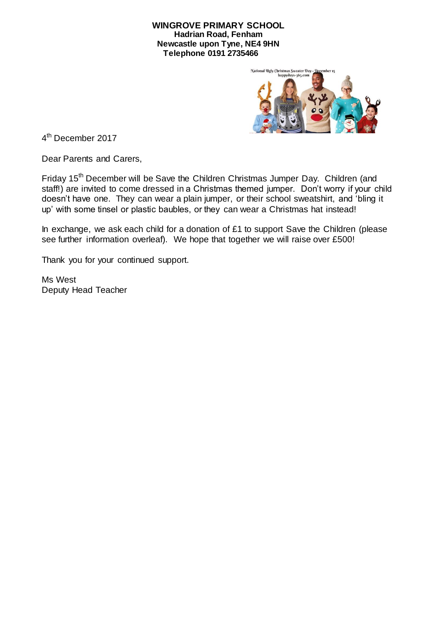## **WINGROVE PRIMARY SCHOOL Hadrian Road, Fenham Newcastle upon Tyne, NE4 9HN Telephone 0191 2735466**



4 th December 2017

Dear Parents and Carers,

Friday 15<sup>th</sup> December will be Save the Children Christmas Jumper Day. Children (and staff!) are invited to come dressed in a Christmas themed jumper. Don't worry if your child doesn't have one. They can wear a plain jumper, or their school sweatshirt, and 'bling it up' with some tinsel or plastic baubles, or they can wear a Christmas hat instead!

In exchange, we ask each child for a donation of £1 to support Save the Children (please see further information overleaf). We hope that together we will raise over £500!

Thank you for your continued support.

Ms West Deputy Head Teacher